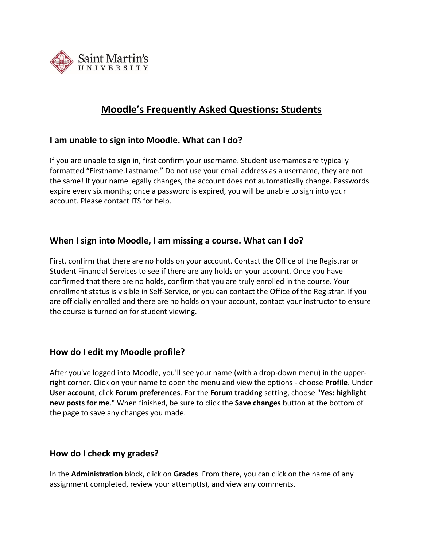

# **Moodle's Frequently Asked Questions: Students**

### **I am unable to sign into Moodle. What can I do?**

If you are unable to sign in, first confirm your username. Student usernames are typically formatted "Firstname.Lastname." Do not use your email address as a username, they are not the same! If your name legally changes, the account does not automatically change. Passwords expire every six months; once a password is expired, you will be unable to sign into your account. Please contact ITS for help.

## **When I sign into Moodle, I am missing a course. What can I do?**

First, confirm that there are no holds on your account. Contact the Office of the Registrar or Student Financial Services to see if there are any holds on your account. Once you have confirmed that there are no holds, confirm that you are truly enrolled in the course. Your enrollment status is visible in Self-Service, or you can contact the Office of the Registrar. If you are officially enrolled and there are no holds on your account, contact your instructor to ensure the course is turned on for student viewing.

## **How do I edit my Moodle profile?**

After you've logged into Moodle, you'll see your name (with a drop-down menu) in the upperright corner. Click on your name to open the menu and view the options - choose **Profile**. Under **User account**, click **Forum preferences**. For the **Forum tracking** setting, choose "**Yes: highlight new posts for me**." When finished, be sure to click the **Save changes** button at the bottom of the page to save any changes you made.

#### **How do I check my grades?**

In the **Administration** block, click on **Grades**. From there, you can click on the name of any assignment completed, review your attempt(s), and view any comments.